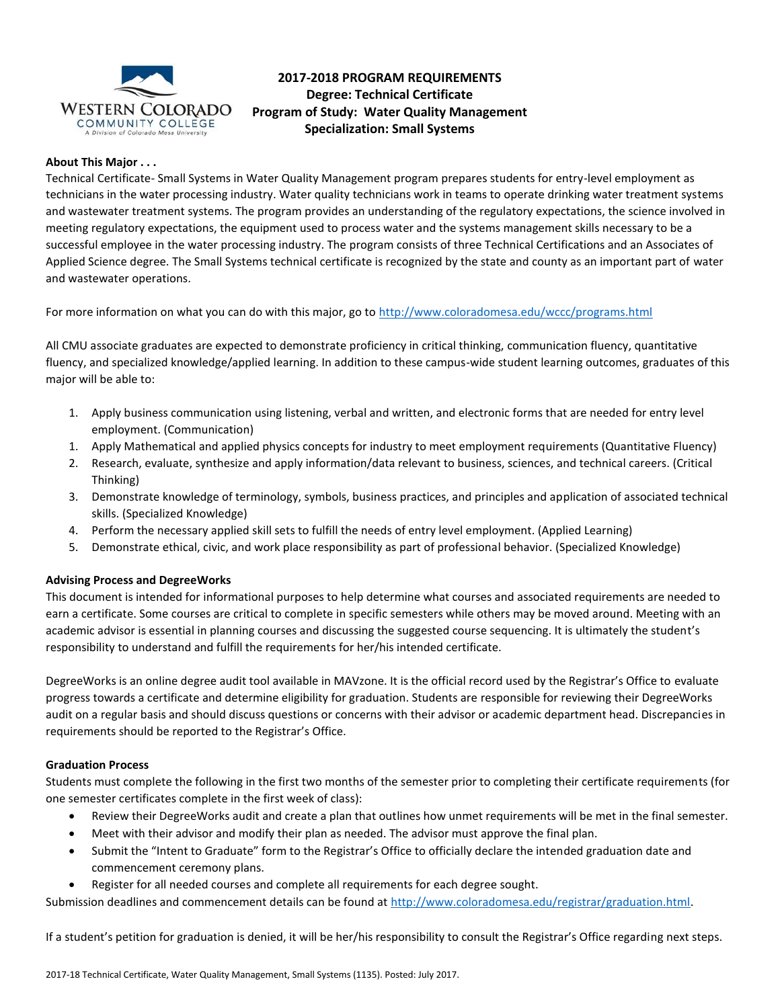

# **2017-2018 PROGRAM REQUIREMENTS Degree: Technical Certificate Program of Study: Water Quality Management Specialization: Small Systems**

# **About This Major . . .**

Technical Certificate- Small Systems in Water Quality Management program prepares students for entry-level employment as technicians in the water processing industry. Water quality technicians work in teams to operate drinking water treatment systems and wastewater treatment systems. The program provides an understanding of the regulatory expectations, the science involved in meeting regulatory expectations, the equipment used to process water and the systems management skills necessary to be a successful employee in the water processing industry. The program consists of three Technical Certifications and an Associates of Applied Science degree. The Small Systems technical certificate is recognized by the state and county as an important part of water and wastewater operations.

For more information on what you can do with this major, go to<http://www.coloradomesa.edu/wccc/programs.html>

All CMU associate graduates are expected to demonstrate proficiency in critical thinking, communication fluency, quantitative fluency, and specialized knowledge/applied learning. In addition to these campus-wide student learning outcomes, graduates of this major will be able to:

- 1. Apply business communication using listening, verbal and written, and electronic forms that are needed for entry level employment. (Communication)
- 1. Apply Mathematical and applied physics concepts for industry to meet employment requirements (Quantitative Fluency)
- 2. Research, evaluate, synthesize and apply information/data relevant to business, sciences, and technical careers. (Critical Thinking)
- 3. Demonstrate knowledge of terminology, symbols, business practices, and principles and application of associated technical skills. (Specialized Knowledge)
- 4. Perform the necessary applied skill sets to fulfill the needs of entry level employment. (Applied Learning)
- 5. Demonstrate ethical, civic, and work place responsibility as part of professional behavior. (Specialized Knowledge)

## **Advising Process and DegreeWorks**

This document is intended for informational purposes to help determine what courses and associated requirements are needed to earn a certificate. Some courses are critical to complete in specific semesters while others may be moved around. Meeting with an academic advisor is essential in planning courses and discussing the suggested course sequencing. It is ultimately the student's responsibility to understand and fulfill the requirements for her/his intended certificate.

DegreeWorks is an online degree audit tool available in MAVzone. It is the official record used by the Registrar's Office to evaluate progress towards a certificate and determine eligibility for graduation. Students are responsible for reviewing their DegreeWorks audit on a regular basis and should discuss questions or concerns with their advisor or academic department head. Discrepancies in requirements should be reported to the Registrar's Office.

## **Graduation Process**

Students must complete the following in the first two months of the semester prior to completing their certificate requirements (for one semester certificates complete in the first week of class):

- Review their DegreeWorks audit and create a plan that outlines how unmet requirements will be met in the final semester.
- Meet with their advisor and modify their plan as needed. The advisor must approve the final plan.
- Submit the "Intent to Graduate" form to the Registrar's Office to officially declare the intended graduation date and commencement ceremony plans.
- Register for all needed courses and complete all requirements for each degree sought.

Submission deadlines and commencement details can be found at [http://www.coloradomesa.edu/registrar/graduation.html.](http://www.coloradomesa.edu/registrar/graduation.html)

If a student's petition for graduation is denied, it will be her/his responsibility to consult the Registrar's Office regarding next steps.